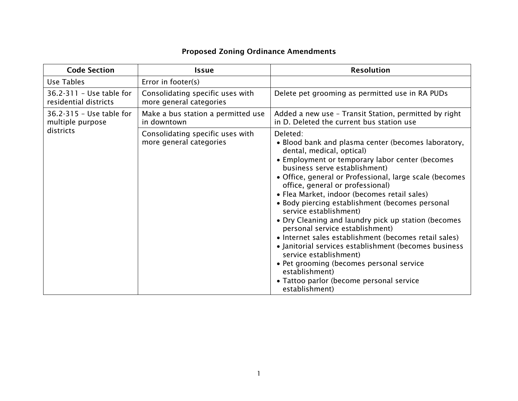## Proposed Zoning Ordinance Amendments

| <b>Code Section</b>                               | <b>Issue</b>                                                | <b>Resolution</b>                                                                                                                                                                                                                                                                                                                                                                                                                                                                                                                                                                                                                                                                                                                                                              |
|---------------------------------------------------|-------------------------------------------------------------|--------------------------------------------------------------------------------------------------------------------------------------------------------------------------------------------------------------------------------------------------------------------------------------------------------------------------------------------------------------------------------------------------------------------------------------------------------------------------------------------------------------------------------------------------------------------------------------------------------------------------------------------------------------------------------------------------------------------------------------------------------------------------------|
| Use Tables                                        | Error in footer(s)                                          |                                                                                                                                                                                                                                                                                                                                                                                                                                                                                                                                                                                                                                                                                                                                                                                |
| 36.2-311 - Use table for<br>residential districts | Consolidating specific uses with<br>more general categories | Delete pet grooming as permitted use in RA PUDs                                                                                                                                                                                                                                                                                                                                                                                                                                                                                                                                                                                                                                                                                                                                |
| 36.2-315 - Use table for<br>multiple purpose      | Make a bus station a permitted use<br>in downtown           | Added a new use - Transit Station, permitted by right<br>in D. Deleted the current bus station use                                                                                                                                                                                                                                                                                                                                                                                                                                                                                                                                                                                                                                                                             |
| districts                                         | Consolidating specific uses with<br>more general categories | Deleted:<br>• Blood bank and plasma center (becomes laboratory,<br>dental, medical, optical)<br>• Employment or temporary labor center (becomes<br>business serve establishment)<br>• Office, general or Professional, large scale (becomes<br>office, general or professional)<br>• Flea Market, indoor (becomes retail sales)<br>• Body piercing establishment (becomes personal<br>service establishment)<br>• Dry Cleaning and laundry pick up station (becomes<br>personal service establishment)<br>• Internet sales establishment (becomes retail sales)<br>• Janitorial services establishment (becomes business<br>service establishment)<br>• Pet grooming (becomes personal service<br>establishment)<br>• Tattoo parlor (become personal service<br>establishment) |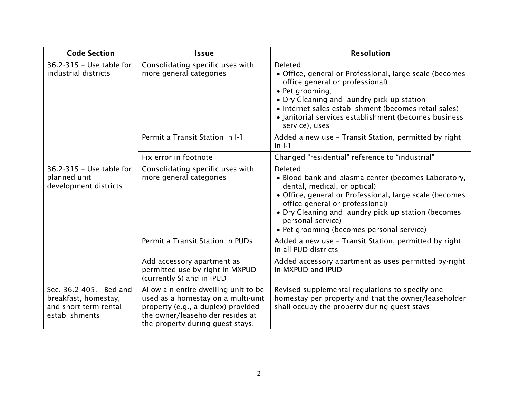| <b>Code Section</b>                                                                         | <b>Issue</b>                                                                                                                                                                             | <b>Resolution</b>                                                                                                                                                                                                                                                                                                      |
|---------------------------------------------------------------------------------------------|------------------------------------------------------------------------------------------------------------------------------------------------------------------------------------------|------------------------------------------------------------------------------------------------------------------------------------------------------------------------------------------------------------------------------------------------------------------------------------------------------------------------|
| 36.2-315 - Use table for<br>industrial districts                                            | Consolidating specific uses with<br>more general categories                                                                                                                              | Deleted:<br>• Office, general or Professional, large scale (becomes<br>office general or professional)<br>• Pet grooming;<br>• Dry Cleaning and laundry pick up station<br>• Internet sales establishment (becomes retail sales)<br>• Janitorial services establishment (becomes business<br>service), uses            |
|                                                                                             | Permit a Transit Station in I-1                                                                                                                                                          | Added a new use - Transit Station, permitted by right<br>$in I-1$                                                                                                                                                                                                                                                      |
|                                                                                             | Fix error in footnote                                                                                                                                                                    | Changed "residential" reference to "industrial"                                                                                                                                                                                                                                                                        |
| 36.2-315 - Use table for<br>planned unit<br>development districts                           | Consolidating specific uses with<br>more general categories                                                                                                                              | Deleted:<br>• Blood bank and plasma center (becomes Laboratory,<br>dental, medical, or optical)<br>· Office, general or Professional, large scale (becomes<br>office general or professional)<br>• Dry Cleaning and laundry pick up station (becomes<br>personal service)<br>• Pet grooming (becomes personal service) |
|                                                                                             | Permit a Transit Station in PUDs                                                                                                                                                         | Added a new use - Transit Station, permitted by right<br>in all PUD districts                                                                                                                                                                                                                                          |
|                                                                                             | Add accessory apartment as<br>permitted use by-right in MXPUD<br>(currently S) and in IPUD                                                                                               | Added accessory apartment as uses permitted by-right<br>in MXPUD and IPUD                                                                                                                                                                                                                                              |
| Sec. 36.2-405. - Bed and<br>breakfast, homestay,<br>and short-term rental<br>establishments | Allow a n entire dwelling unit to be<br>used as a homestay on a multi-unit<br>property (e.g., a duplex) provided<br>the owner/leaseholder resides at<br>the property during guest stays. | Revised supplemental regulations to specify one<br>homestay per property and that the owner/leaseholder<br>shall occupy the property during guest stays                                                                                                                                                                |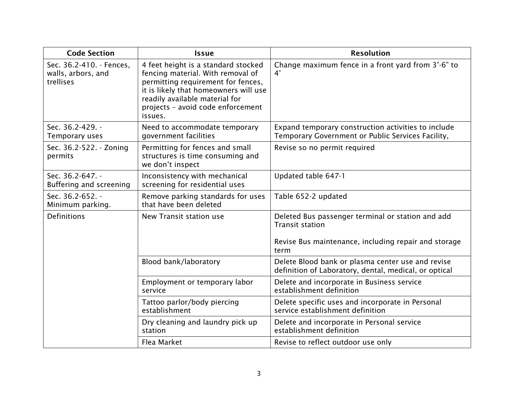| <b>Code Section</b>                                         | <b>Issue</b>                                                                                                                                                                                                                              | <b>Resolution</b>                                                                                                                           |
|-------------------------------------------------------------|-------------------------------------------------------------------------------------------------------------------------------------------------------------------------------------------------------------------------------------------|---------------------------------------------------------------------------------------------------------------------------------------------|
| Sec. 36.2-410. - Fences.<br>walls, arbors, and<br>trellises | 4 feet height is a standard stocked<br>fencing material. With removal of<br>permitting requirement for fences,<br>it is likely that homeowners will use<br>readily available material for<br>projects - avoid code enforcement<br>issues. | Change maximum fence in a front yard from 3'-6" to<br>4'                                                                                    |
| Sec. 36.2-429. -<br>Temporary uses                          | Need to accommodate temporary<br>government facilities                                                                                                                                                                                    | Expand temporary construction activities to include<br>Temporary Government or Public Services Facility,                                    |
| Sec. 36.2-522. - Zoning<br>permits                          | Permitting for fences and small<br>structures is time consuming and<br>we don't inspect                                                                                                                                                   | Revise so no permit required                                                                                                                |
| Sec. 36.2-647. -<br>Buffering and screening                 | Inconsistency with mechanical<br>screening for residential uses                                                                                                                                                                           | Updated table 647-1                                                                                                                         |
| Sec. 36.2-652. -<br>Minimum parking.                        | Remove parking standards for uses<br>that have been deleted                                                                                                                                                                               | Table 652-2 updated                                                                                                                         |
| Definitions                                                 | New Transit station use                                                                                                                                                                                                                   | Deleted Bus passenger terminal or station and add<br><b>Transit station</b><br>Revise Bus maintenance, including repair and storage<br>term |
|                                                             | Blood bank/laboratory                                                                                                                                                                                                                     | Delete Blood bank or plasma center use and revise<br>definition of Laboratory, dental, medical, or optical                                  |
|                                                             | Employment or temporary labor<br>service                                                                                                                                                                                                  | Delete and incorporate in Business service<br>establishment definition                                                                      |
|                                                             | Tattoo parlor/body piercing<br>establishment                                                                                                                                                                                              | Delete specific uses and incorporate in Personal<br>service establishment definition                                                        |
|                                                             | Dry cleaning and laundry pick up<br>station                                                                                                                                                                                               | Delete and incorporate in Personal service<br>establishment definition                                                                      |
|                                                             | Flea Market                                                                                                                                                                                                                               | Revise to reflect outdoor use only                                                                                                          |